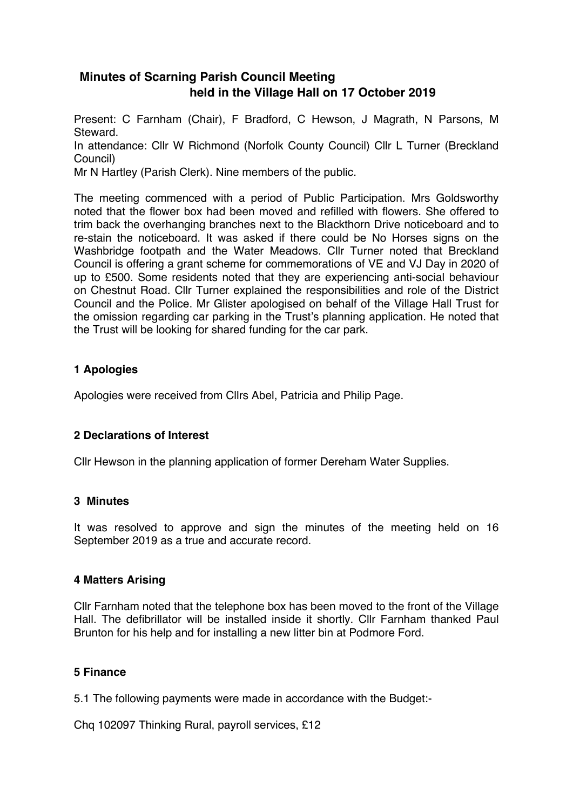# **Minutes of Scarning Parish Council Meeting held in the Village Hall on 17 October 2019**

Present: C Farnham (Chair), F Bradford, C Hewson, J Magrath, N Parsons, M Steward. In attendance: Cllr W Richmond (Norfolk County Council) Cllr L Turner (Breckland Council) Mr N Hartley (Parish Clerk). Nine members of the public.

The meeting commenced with a period of Public Participation. Mrs Goldsworthy noted that the flower box had been moved and refilled with flowers. She offered to trim back the overhanging branches next to the Blackthorn Drive noticeboard and to re-stain the noticeboard. It was asked if there could be No Horses signs on the Washbridge footpath and the Water Meadows. Cllr Turner noted that Breckland Council is offering a grant scheme for commemorations of VE and VJ Day in 2020 of up to £500. Some residents noted that they are experiencing anti-social behaviour on Chestnut Road. Cllr Turner explained the responsibilities and role of the District Council and the Police. Mr Glister apologised on behalf of the Village Hall Trust for the omission regarding car parking in the Trust's planning application. He noted that the Trust will be looking for shared funding for the car park.

## **1 Apologies**

Apologies were received from Cllrs Abel, Patricia and Philip Page.

## **2 Declarations of Interest**

Cllr Hewson in the planning application of former Dereham Water Supplies.

## **3 Minutes**

It was resolved to approve and sign the minutes of the meeting held on 16 September 2019 as a true and accurate record.

## **4 Matters Arising**

Cllr Farnham noted that the telephone box has been moved to the front of the Village Hall. The defibrillator will be installed inside it shortly. Cllr Farnham thanked Paul Brunton for his help and for installing a new litter bin at Podmore Ford.

## **5 Finance**

5.1 The following payments were made in accordance with the Budget:-

Chq 102097 Thinking Rural, payroll services, £12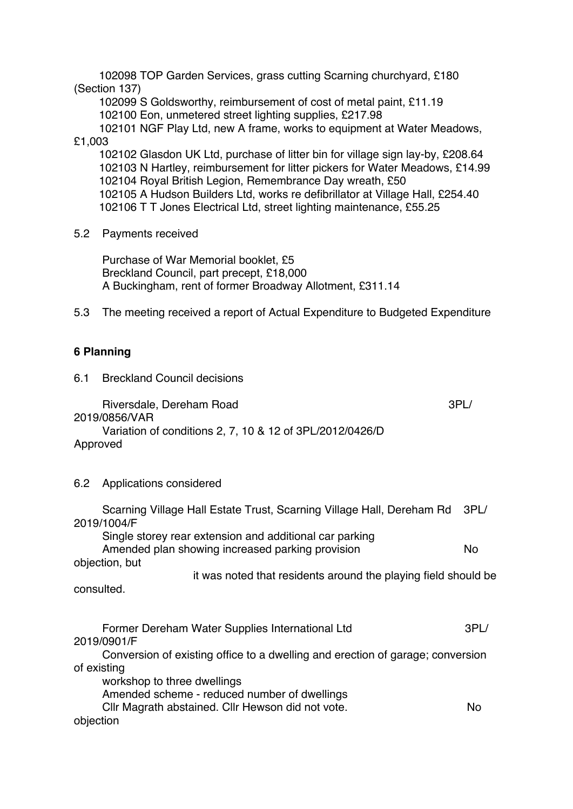102098 TOP Garden Services, grass cutting Scarning churchyard, £180 (Section 137)

 102099 S Goldsworthy, reimbursement of cost of metal paint, £11.19 102100 Eon, unmetered street lighting supplies, £217.98

 102101 NGF Play Ltd, new A frame, works to equipment at Water Meadows, £1,003

 102102 Glasdon UK Ltd, purchase of litter bin for village sign lay-by, £208.64 102103 N Hartley, reimbursement for litter pickers for Water Meadows, £14.99 102104 Royal British Legion, Remembrance Day wreath, £50 102105 A Hudson Builders Ltd, works re defibrillator at Village Hall, £254.40 102106 T T Jones Electrical Ltd, street lighting maintenance, £55.25

5.2 Payments received

 Purchase of War Memorial booklet, £5 Breckland Council, part precept, £18,000 A Buckingham, rent of former Broadway Allotment, £311.14

5.3 The meeting received a report of Actual Expenditure to Budgeted Expenditure

## **6 Planning**

6.1 Breckland Council decisions

Riversdale, Dereham Road 3PL/

2019/0856/VAR

 Variation of conditions 2, 7, 10 & 12 of 3PL/2012/0426/D Approved

## 6.2 Applications considered

| Scarning Village Hall Estate Trust, Scarning Village Hall, Dereham Rd          | 3PL/      |
|--------------------------------------------------------------------------------|-----------|
| 2019/1004/F                                                                    |           |
| Single storey rear extension and additional car parking                        |           |
| Amended plan showing increased parking provision                               | <b>No</b> |
| objection, but                                                                 |           |
| it was noted that residents around the playing field should be                 |           |
| consulted.                                                                     |           |
| Former Dereham Water Supplies International Ltd                                | 3PL/      |
| 2019/0901/F                                                                    |           |
| Conversion of existing office to a dwelling and erection of garage; conversion |           |
| of existing                                                                    |           |
| workshop to three dwellings                                                    |           |
| Amended scheme - reduced number of dwellings                                   |           |
| Cllr Magrath abstained. Cllr Hewson did not vote.                              | No        |
| objection                                                                      |           |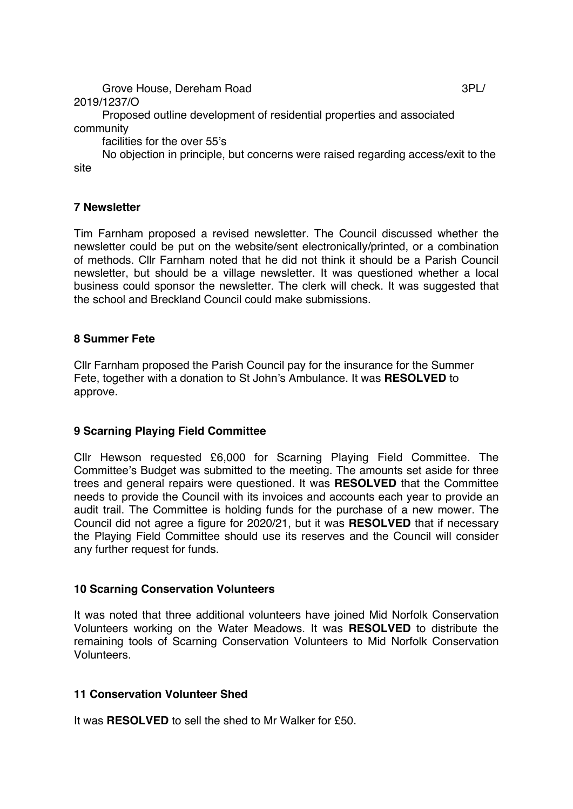Grove House, Dereham Road 3PL/

2019/1237/O

 Proposed outline development of residential properties and associated community

facilities for the over 55's

 No objection in principle, but concerns were raised regarding access/exit to the site

## **7 Newsletter**

Tim Farnham proposed a revised newsletter. The Council discussed whether the newsletter could be put on the website/sent electronically/printed, or a combination of methods. Cllr Farnham noted that he did not think it should be a Parish Council newsletter, but should be a village newsletter. It was questioned whether a local business could sponsor the newsletter. The clerk will check. It was suggested that the school and Breckland Council could make submissions.

## **8 Summer Fete**

Cllr Farnham proposed the Parish Council pay for the insurance for the Summer Fete, together with a donation to St John's Ambulance. It was **RESOLVED** to approve.

## **9 Scarning Playing Field Committee**

Cllr Hewson requested £6,000 for Scarning Playing Field Committee. The Committee's Budget was submitted to the meeting. The amounts set aside for three trees and general repairs were questioned. It was **RESOLVED** that the Committee needs to provide the Council with its invoices and accounts each year to provide an audit trail. The Committee is holding funds for the purchase of a new mower. The Council did not agree a figure for 2020/21, but it was **RESOLVED** that if necessary the Playing Field Committee should use its reserves and the Council will consider any further request for funds.

## **10 Scarning Conservation Volunteers**

It was noted that three additional volunteers have joined Mid Norfolk Conservation Volunteers working on the Water Meadows. It was **RESOLVED** to distribute the remaining tools of Scarning Conservation Volunteers to Mid Norfolk Conservation Volunteers.

## **11 Conservation Volunteer Shed**

It was **RESOLVED** to sell the shed to Mr Walker for £50.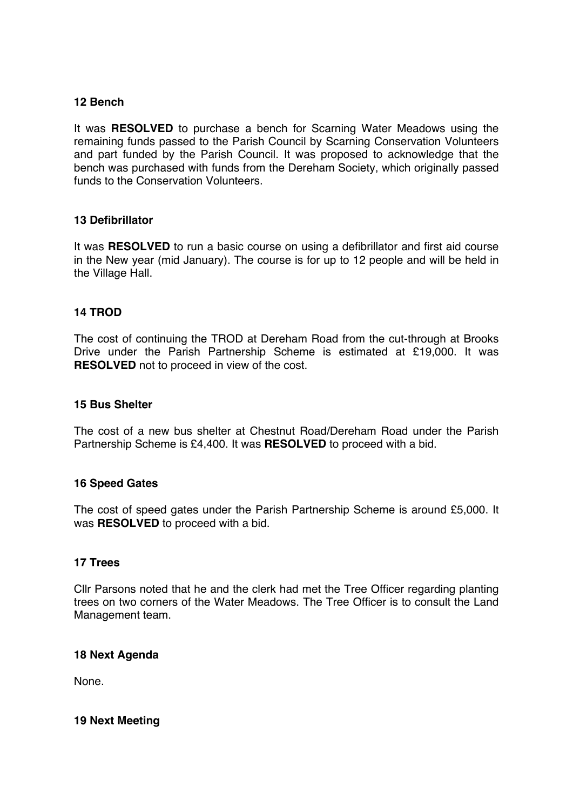### **12 Bench**

It was **RESOLVED** to purchase a bench for Scarning Water Meadows using the remaining funds passed to the Parish Council by Scarning Conservation Volunteers and part funded by the Parish Council. It was proposed to acknowledge that the bench was purchased with funds from the Dereham Society, which originally passed funds to the Conservation Volunteers.

### **13 Defibrillator**

It was **RESOLVED** to run a basic course on using a defibrillator and first aid course in the New year (mid January). The course is for up to 12 people and will be held in the Village Hall.

#### **14 TROD**

The cost of continuing the TROD at Dereham Road from the cut-through at Brooks Drive under the Parish Partnership Scheme is estimated at £19,000. It was **RESOLVED** not to proceed in view of the cost.

#### **15 Bus Shelter**

The cost of a new bus shelter at Chestnut Road/Dereham Road under the Parish Partnership Scheme is £4,400. It was **RESOLVED** to proceed with a bid.

#### **16 Speed Gates**

The cost of speed gates under the Parish Partnership Scheme is around £5,000. It was **RESOLVED** to proceed with a bid.

#### **17 Trees**

Cllr Parsons noted that he and the clerk had met the Tree Officer regarding planting trees on two corners of the Water Meadows. The Tree Officer is to consult the Land Management team.

#### **18 Next Agenda**

None.

#### **19 Next Meeting**